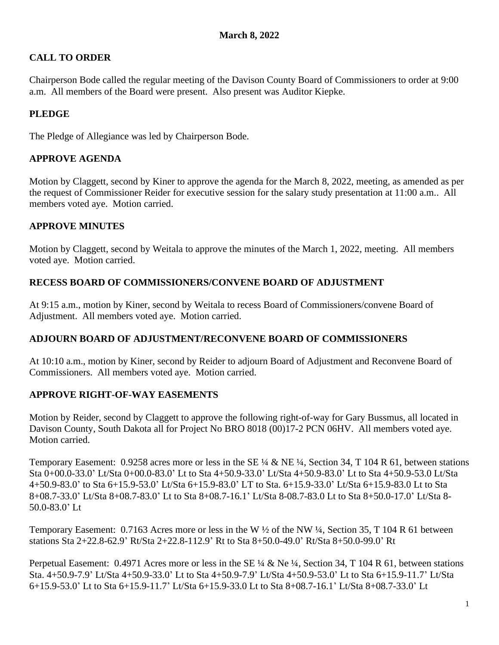# **CALL TO ORDER**

Chairperson Bode called the regular meeting of the Davison County Board of Commissioners to order at 9:00 a.m. All members of the Board were present. Also present was Auditor Kiepke.

## **PLEDGE**

The Pledge of Allegiance was led by Chairperson Bode.

## **APPROVE AGENDA**

Motion by Claggett, second by Kiner to approve the agenda for the March 8, 2022, meeting, as amended as per the request of Commissioner Reider for executive session for the salary study presentation at 11:00 a.m.. All members voted aye. Motion carried.

### **APPROVE MINUTES**

Motion by Claggett, second by Weitala to approve the minutes of the March 1, 2022, meeting. All members voted aye. Motion carried.

### **RECESS BOARD OF COMMISSIONERS/CONVENE BOARD OF ADJUSTMENT**

At 9:15 a.m., motion by Kiner, second by Weitala to recess Board of Commissioners/convene Board of Adjustment. All members voted aye. Motion carried.

### **ADJOURN BOARD OF ADJUSTMENT/RECONVENE BOARD OF COMMISSIONERS**

At 10:10 a.m., motion by Kiner, second by Reider to adjourn Board of Adjustment and Reconvene Board of Commissioners. All members voted aye. Motion carried.

## **APPROVE RIGHT-OF-WAY EASEMENTS**

Motion by Reider, second by Claggett to approve the following right-of-way for Gary Bussmus, all located in Davison County, South Dakota all for Project No BRO 8018 (00)17-2 PCN 06HV. All members voted aye. Motion carried.

Temporary Easement: 0.9258 acres more or less in the SE ¼ & NE ¼, Section 34, T 104 R 61, between stations Sta 0+00.0-33.0' Lt/Sta 0+00.0-83.0' Lt to Sta 4+50.9-33.0' Lt/Sta 4+50.9-83.0' Lt to Sta 4+50.9-53.0 Lt/Sta 4+50.9-83.0' to Sta 6+15.9-53.0' Lt/Sta 6+15.9-83.0' LT to Sta. 6+15.9-33.0' Lt/Sta 6+15.9-83.0 Lt to Sta 8+08.7-33.0' Lt/Sta 8+08.7-83.0' Lt to Sta 8+08.7-16.1' Lt/Sta 8-08.7-83.0 Lt to Sta 8+50.0-17.0' Lt/Sta 8- 50.0-83.0' Lt

Temporary Easement: 0.7163 Acres more or less in the W ½ of the NW ¼, Section 35, T 104 R 61 between stations Sta 2+22.8-62.9' Rt/Sta 2+22.8-112.9' Rt to Sta 8+50.0-49.0' Rt/Sta 8+50.0-99.0' Rt

Perpetual Easement: 0.4971 Acres more or less in the SE ¼ & Ne ¼, Section 34, T 104 R 61, between stations Sta. 4+50.9-7.9' Lt/Sta 4+50.9-33.0' Lt to Sta 4+50.9-7.9' Lt/Sta 4+50.9-53.0' Lt to Sta 6+15.9-11.7' Lt/Sta 6+15.9-53.0' Lt to Sta 6+15.9-11.7' Lt/Sta 6+15.9-33.0 Lt to Sta 8+08.7-16.1' Lt/Sta 8+08.7-33.0' Lt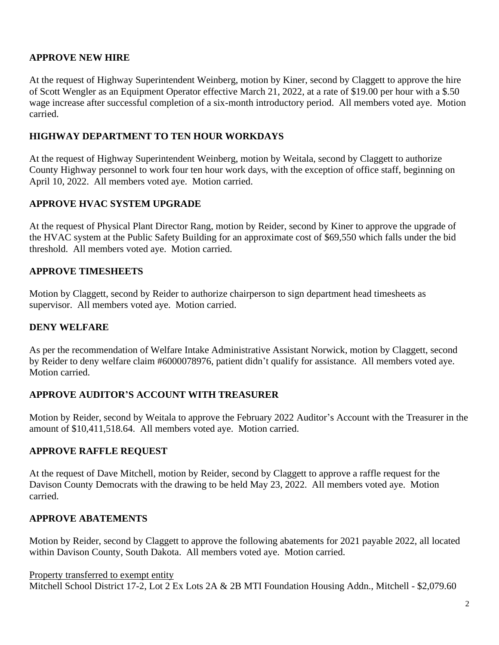### **APPROVE NEW HIRE**

At the request of Highway Superintendent Weinberg, motion by Kiner, second by Claggett to approve the hire of Scott Wengler as an Equipment Operator effective March 21, 2022, at a rate of \$19.00 per hour with a \$.50 wage increase after successful completion of a six-month introductory period. All members voted aye. Motion carried.

### **HIGHWAY DEPARTMENT TO TEN HOUR WORKDAYS**

At the request of Highway Superintendent Weinberg, motion by Weitala, second by Claggett to authorize County Highway personnel to work four ten hour work days, with the exception of office staff, beginning on April 10, 2022. All members voted aye. Motion carried.

### **APPROVE HVAC SYSTEM UPGRADE**

At the request of Physical Plant Director Rang, motion by Reider, second by Kiner to approve the upgrade of the HVAC system at the Public Safety Building for an approximate cost of \$69,550 which falls under the bid threshold. All members voted aye. Motion carried.

### **APPROVE TIMESHEETS**

Motion by Claggett, second by Reider to authorize chairperson to sign department head timesheets as supervisor. All members voted aye. Motion carried.

### **DENY WELFARE**

As per the recommendation of Welfare Intake Administrative Assistant Norwick, motion by Claggett, second by Reider to deny welfare claim #6000078976, patient didn't qualify for assistance. All members voted aye. Motion carried.

### **APPROVE AUDITOR'S ACCOUNT WITH TREASURER**

Motion by Reider, second by Weitala to approve the February 2022 Auditor's Account with the Treasurer in the amount of \$10,411,518.64. All members voted aye. Motion carried.

### **APPROVE RAFFLE REQUEST**

At the request of Dave Mitchell, motion by Reider, second by Claggett to approve a raffle request for the Davison County Democrats with the drawing to be held May 23, 2022. All members voted aye. Motion carried.

### **APPROVE ABATEMENTS**

Motion by Reider, second by Claggett to approve the following abatements for 2021 payable 2022, all located within Davison County, South Dakota. All members voted aye. Motion carried.

#### Property transferred to exempt entity

Mitchell School District 17-2, Lot 2 Ex Lots 2A & 2B MTI Foundation Housing Addn., Mitchell - \$2,079.60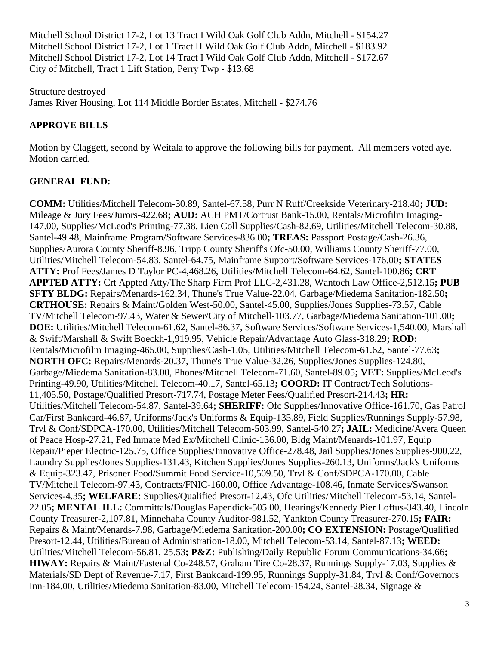Mitchell School District 17-2, Lot 13 Tract I Wild Oak Golf Club Addn, Mitchell - \$154.27 Mitchell School District 17-2, Lot 1 Tract H Wild Oak Golf Club Addn, Mitchell - \$183.92 Mitchell School District 17-2, Lot 14 Tract I Wild Oak Golf Club Addn, Mitchell - \$172.67 City of Mitchell, Tract 1 Lift Station, Perry Twp - \$13.68

Structure destroyed James River Housing, Lot 114 Middle Border Estates, Mitchell - \$274.76

## **APPROVE BILLS**

Motion by Claggett, second by Weitala to approve the following bills for payment. All members voted aye. Motion carried.

### **GENERAL FUND:**

**COMM:** Utilities/Mitchell Telecom-30.89, Santel-67.58, Purr N Ruff/Creekside Veterinary-218.40**; JUD:** Mileage & Jury Fees/Jurors-422.68**; AUD:** ACH PMT/Cortrust Bank-15.00, Rentals/Microfilm Imaging-147.00, Supplies/McLeod's Printing-77.38, Lien Coll Supplies/Cash-82.69, Utilities/Mitchell Telecom-30.88, Santel-49.48, Mainframe Program/Software Services-836.00**; TREAS:** Passport Postage/Cash-26.36, Supplies/Aurora County Sheriff-8.96, Tripp County Sheriff's Ofc-50.00, Williams County Sheriff-77.00, Utilities/Mitchell Telecom-54.83, Santel-64.75, Mainframe Support/Software Services-176.00**; STATES ATTY:** Prof Fees/James D Taylor PC-4,468.26, Utilities/Mitchell Telecom-64.62, Santel-100.86**; CRT APPTED ATTY:** Crt Appted Atty/The Sharp Firm Prof LLC-2,431.28, Wantoch Law Office-2,512.15**; PUB SFTY BLDG:** Repairs/Menards-162.34, Thune's True Value-22.04, Garbage/Miedema Sanitation-182.50**; CRTHOUSE:** Repairs & Maint/Golden West-50.00, Santel-45.00, Supplies/Jones Supplies-73.57, Cable TV/Mitchell Telecom-97.43, Water & Sewer/City of Mitchell-103.77, Garbage/Miedema Sanitation-101.00**; DOE:** Utilities/Mitchell Telecom-61.62, Santel-86.37, Software Services/Software Services-1,540.00, Marshall & Swift/Marshall & Swift Boeckh-1,919.95, Vehicle Repair/Advantage Auto Glass-318.29**; ROD:** Rentals/Microfilm Imaging-465.00, Supplies/Cash-1.05, Utilities/Mitchell Telecom-61.62, Santel-77.63**; NORTH OFC:** Repairs/Menards-20.37, Thune's True Value-32.26, Supplies/Jones Supplies-124.80, Garbage/Miedema Sanitation-83.00, Phones/Mitchell Telecom-71.60, Santel-89.05**; VET:** Supplies/McLeod's Printing-49.90, Utilities/Mitchell Telecom-40.17, Santel-65.13**; COORD:** IT Contract/Tech Solutions-11,405.50, Postage/Qualified Presort-717.74, Postage Meter Fees/Qualified Presort-214.43**; HR:** Utilities/Mitchell Telecom-54.87, Santel-39.64**; SHERIFF:** Ofc Supplies/Innovative Office-161.70, Gas Patrol Car/First Bankcard-46.87, Uniforms/Jack's Uniforms & Equip-135.89, Field Supplies/Runnings Supply-57.98, Trvl & Conf/SDPCA-170.00, Utilities/Mitchell Telecom-503.99, Santel-540.27**; JAIL:** Medicine/Avera Queen of Peace Hosp-27.21, Fed Inmate Med Ex/Mitchell Clinic-136.00, Bldg Maint/Menards-101.97, Equip Repair/Pieper Electric-125.75, Office Supplies/Innovative Office-278.48, Jail Supplies/Jones Supplies-900.22, Laundry Supplies/Jones Supplies-131.43, Kitchen Supplies/Jones Supplies-260.13, Uniforms/Jack's Uniforms & Equip-323.47, Prisoner Food/Summit Food Service-10,509.50, Trvl & Conf/SDPCA-170.00, Cable TV/Mitchell Telecom-97.43, Contracts/FNIC-160.00, Office Advantage-108.46, Inmate Services/Swanson Services-4.35**; WELFARE:** Supplies/Qualified Presort-12.43, Ofc Utilities/Mitchell Telecom-53.14, Santel-22.05**; MENTAL ILL:** Committals/Douglas Papendick-505.00, Hearings/Kennedy Pier Loftus-343.40, Lincoln County Treasurer-2,107.81, Minnehaha County Auditor-981.52, Yankton County Treasurer-270.15**; FAIR:** Repairs & Maint/Menards-7.98, Garbage/Miedema Sanitation-200.00**; CO EXTENSION:** Postage/Qualified Presort-12.44, Utilities/Bureau of Administration-18.00, Mitchell Telecom-53.14, Santel-87.13**; WEED:** Utilities/Mitchell Telecom-56.81, 25.53**; P&Z:** Publishing/Daily Republic Forum Communications-34.66**; HIWAY:** Repairs & Maint/Fastenal Co-248.57, Graham Tire Co-28.37, Runnings Supply-17.03, Supplies & Materials/SD Dept of Revenue-7.17, First Bankcard-199.95, Runnings Supply-31.84, Trvl & Conf/Governors Inn-184.00, Utilities/Miedema Sanitation-83.00, Mitchell Telecom-154.24, Santel-28.34, Signage &